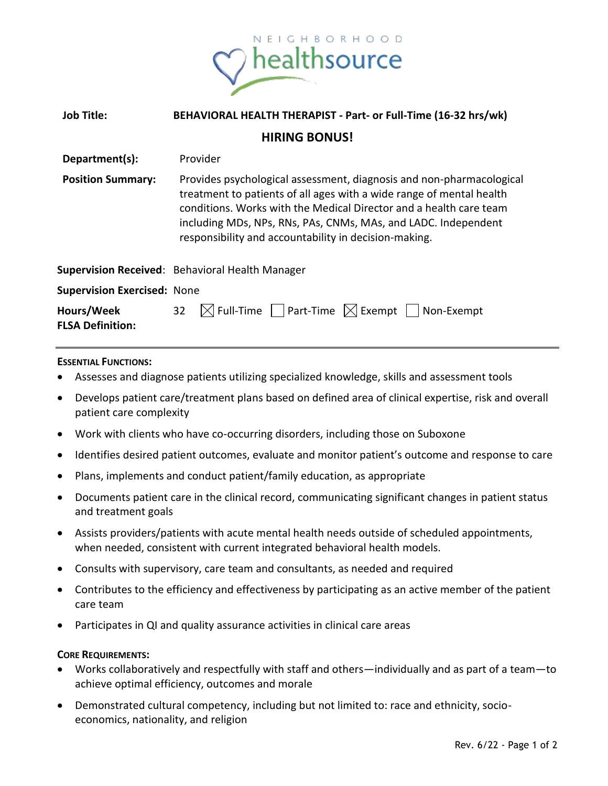

| <b>Job Title:</b>                     | BEHAVIORAL HEALTH THERAPIST - Part- or Full-Time (16-32 hrs/wk)                                                                                                                                                                                                                                                                               |
|---------------------------------------|-----------------------------------------------------------------------------------------------------------------------------------------------------------------------------------------------------------------------------------------------------------------------------------------------------------------------------------------------|
| <b>HIRING BONUS!</b>                  |                                                                                                                                                                                                                                                                                                                                               |
| Department(s):                        | Provider                                                                                                                                                                                                                                                                                                                                      |
| <b>Position Summary:</b>              | Provides psychological assessment, diagnosis and non-pharmacological<br>treatment to patients of all ages with a wide range of mental health<br>conditions. Works with the Medical Director and a health care team<br>including MDs, NPs, RNs, PAs, CNMs, MAs, and LADC. Independent<br>responsibility and accountability in decision-making. |
|                                       | <b>Supervision Received</b> : Behavioral Health Manager                                                                                                                                                                                                                                                                                       |
| <b>Supervision Exercised: None</b>    |                                                                                                                                                                                                                                                                                                                                               |
| Hours/Week<br><b>FLSA Definition:</b> | $\boxtimes$ Full-Time     Part-Time $\boxtimes$ Exempt   Non-Exempt<br>32                                                                                                                                                                                                                                                                     |

## **ESSENTIAL FUNCTIONS:**

- Assesses and diagnose patients utilizing specialized knowledge, skills and assessment tools
- Develops patient care/treatment plans based on defined area of clinical expertise, risk and overall patient care complexity
- Work with clients who have co-occurring disorders, including those on Suboxone
- Identifies desired patient outcomes, evaluate and monitor patient's outcome and response to care
- Plans, implements and conduct patient/family education, as appropriate
- Documents patient care in the clinical record, communicating significant changes in patient status and treatment goals
- Assists providers/patients with acute mental health needs outside of scheduled appointments, when needed, consistent with current integrated behavioral health models.
- Consults with supervisory, care team and consultants, as needed and required
- Contributes to the efficiency and effectiveness by participating as an active member of the patient care team
- Participates in QI and quality assurance activities in clinical care areas

## **CORE REQUIREMENTS:**

- Works collaboratively and respectfully with staff and others—individually and as part of a team—to achieve optimal efficiency, outcomes and morale
- Demonstrated cultural competency, including but not limited to: race and ethnicity, socioeconomics, nationality, and religion